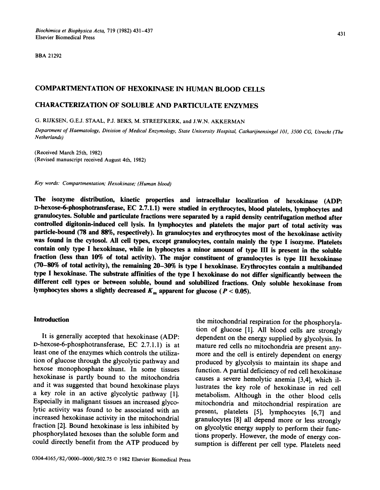**BBA** 21292

# COMPARTMENTATION OF HEXOKINASE IN HUMAN BLOOD CELLS

# CHARACTERIZATION OF SOLUBLE AND PARTICULATE ENZYMES

(3. RIJKSEN, G.E.J. STAAL, P.J. BEKS, M. STREEFKERK, and J.W.N. AKKERMAN

*Department of Haematology, Division of Medical Enzymology, State University Hospital, Catharijnensingel 101, 3500 CG, Utrecht (The Netherlands)* 

(Received March 25th, 1982) (Revised manuscript received August 4th, 1982)

*Key words: Compartmentation; Hexokinase; (Human blood)* 

**The isozyme distribution, kinetic properties and intracellular localization of hexokinase (ADP: l>hexose-6-phosphotransferase, EC 2.7.1.1) were studied in erythrocytes, blood platelets, lymphocytes and granulocytes. Soluble and particulate fractions were separated by a rapid density centrifugation method after controlled digitonin-induced cell lysis. In lymphocytes and platelets the major part of total activity was particle-bound (78 and 88%, respectively). In granulocytes and erythrocytes most of the hexokinase activity was found in the cytosol. All cell types, except granulocytes, contain mainly the type I isozyme. Platelets contain only type I hexokinase, while in lyphocytes a minor amount of type III is present in the soluble fraction (less than 10% of total activity). The major constituent of granulocytes is type III hexokinase (70-80% of total activity), the remaining 20-30% is type I hexokinase. Erythrocytes contain a multibanded type I hexokinase. The substrate affinities of the type I hexokinase do not differ significantly between the different cell types or between soluble, bound and solubilized fractions. Only soluble hexokinase from**  lymphocytes shows a slightly decreased  $K_m$  apparent for glucose ( $P < 0.05$ ).

### **Introduction**

It is generally accepted that hexokinase (ADP: D-hexose-6-phosphotransferase, EC 2.7.1.1) is at least one of the enzymes which controls the utilization of glucose through the glycolytic pathway and hexose monophosphate shunt. In some tissues hexokinase is partly bound to the mitochondria and it was suggested that bound hexokinase plays a key role in an active glycolytic pathway [1]. Especially in malignant tissues an increased glycolytic activity was found to be associated with an increased hexokinase activity in the mitochondrial fraction [2]. Bound hexokinase is less inhibited by phosphorylated hexoses than the soluble form and could directly benefit from the ATP produced by

the mitochondrial respiration for the phosphorylation of glucose [1]. All blood cells are strongly dependent on the energy supplied by glycolysis. In mature red cells no mitochondria are present anymore and the cell is entirely dependent on energy produced by glycolysis to maintain its shape and function. A partial deficiency of red cell hexokinase causes a severe hemolytic anemia [3,4], which illustrates the key role of hexokinase in red cell metabolism. Although in the other blood ceils mitochondria and mitochondrial respiration are present, platelets [5], lymphocytes [6,7] and granulocytes [8] all depend more or less strongly on glycolytic energy supply to perform their functions properly. However, the mode of energy consumption is different per cell type. Platelets need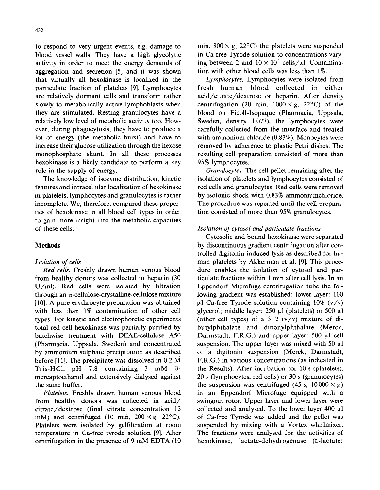432

to respond to very urgent events, e.g. damage to blood vessel walls. They have a high glycolytic activity in order to meet the energy demands of aggregation and secretion [5] and it was shown that virtually all hexokinase is localized in the particulate fraction of platelets [9]. Lymphocytes are relatively dormant cells and transform rather slowly to metabolically active lymphoblasts when they are stimulated. Resting granulocytes have a relatively low level of metabolic activity too. However, during phagocytosis, they have to produce a lot of energy (the metabolic burst) and have to increase their glucose utilization through the hexose monophosphate shunt. In all these processes hexokinase is a likely candidate to perform a key role in the supply of energy.

The knowledge of isozyme distribution, kinetic features and intracellular localization of hexokinase in platelets, lymphocytes and granulocytes is rather incomplete. We, therefore, compared these properties of hexokinase in all blood cell types in order to gain more insight into the metabolic capacities of these cells.

# **Methods**

# *Isolation of cells*

*Red cells.* Freshly drawn human venous blood from healthy donors was collected in heparin (30 U/ml). Red cells were isolated by filtration through an a-cellulose-crystalline-cellulose mixture [10]. A pure erythrocyte preparation was obtained with less than 1% contamination of other cell types. For kinetic and electrophoretic experiments total red cell hexokinase was partially purified by batchwise treatment with DEAE-cellulose A50 (Pharmacia, Uppsala, Sweden) and concentrated by ammonium sulphate precipitation as described before [11]. The precipitate was dissolved in  $0.2 \text{ M}$ Tris-HCl, pH 7.8 containing  $3 \text{ mM } \beta$ mercaptoethanol and extensively dialysed against the same buffer.

*Platelets.* Freshly drawn human venous blood from healthy donors was collected in acid/ citrate/dextrose (final citrate concentration 13 mM) and centrifuged (10 min,  $200 \times g$ ,  $22^{\circ}$ C). Platelets were isolated by gelfiltration at room temperature in Ca-free tyrode solution [9]. After centrifugation in the presence of 9 mM EDTA (10

min,  $800 \times g$ ,  $22^{\circ}$ C) the platelets were suspended in Ca-free Tyrode solution to concentrations varying between 2 and  $10 \times 10^5$  cells/ $\mu$ l. Contamination with other blood cells was less than 1%.

*Lymphocytes.* Lymphocytes were isolated from fresh human blood collected in either acid/citrate/dextrose or heparin. After density centrifugation (20 min,  $1000 \times g$ , 22<sup>o</sup>C) of the blood on Ficoll-Isopaque (Pharmacia, Uppsala, Sweden, density 1.077), the lymphocytes were carefully collected from the interface and treated with ammonium chloride (0.83%). Monocytes were removed by adherence to plastic Petri dishes. The resulting cell preparation consisted of more than 95% lymphocytes.

*Granulocytes.* The cell pellet remaining after the isolation of platelets and lymphocytes consisted of red cells and granulocytes. Red cells were removed by isotonic shock with 0.83% ammoniumchloride. The procedure was repeated until the cell preparation consisted of more than 95% granulocytes.

# *Isolation of cytosol and particulate fractions*

Cytosolic and bound hexokinase were separated by discontinuous gradient centrifugation after controlled digitonin-induced lysis as described for human platelets by Akkerman et al. [9]. This procedure enables the isolation of cytosol and particulate fractions within 1 min after cell lysis. In an Eppendorf Microfuge centrifugation tube the following gradient was established: lower layer: 100  $\mu$ 1 Ca-free Tyrode solution containing 10% (v/v) glycerol; middle layer: 250  $\mu$ l (platelets) or 500  $\mu$ l (other cell types) of a  $3:2$  (v/v) mixture of dibutylphthalate and dinonylphthalate (Merck, Darmstadt, F.R.G.) and upper layer: 500  $\mu$ l cell suspension. The upper layer was mixed with 50  $\mu$ l of a digitonin suspension (Merck, Darmstadt, F.R.G.) in various concentrations (as indicated in the Results). After incubation for 10 s (platelets), 20 s (lymphocytes, red cells) or 30 s (granulocytes) the suspension was centrifuged (45 s,  $10000 \times g$ ) in an Eppendorf Microfuge equipped with a swingout rotor. Upper layer and lower layer were collected and analysed. To the lower layer 400  $\mu$ l of Ca-free Tyrode was added and the pellet was suspended by mixing with a Vortex whirlmixer. The fractions were analysed for the activities of hexokinase, lactate-dehydrogenase (L-lactate: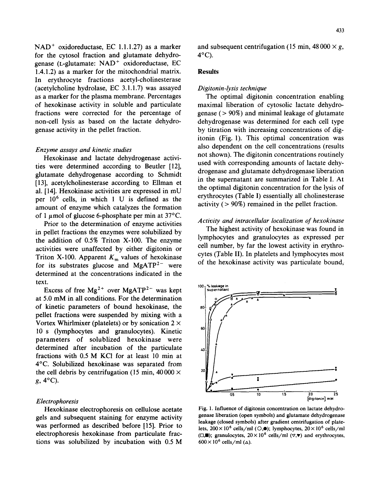$NAD<sup>+</sup>$  oxidoreductase, EC 1.1.1.27) as a marker for the cytosol fraction and glutamate dehydrogenase (L-glutamate:  $NAD<sup>+</sup>$  oxidoreductase, EC 1.4.1.2) as a marker for the mitochondrial matrix. In erythrocyte fractions acetyl-cholinesterase (acetylcholine hydrolase, EC 3.1.1.7) was assayed as a marker for the plasma membrane. Percentages of hexokinase activity in soluble and particulate fractions were corrected for the percentage of non-cell lysis as based on the lactate dehydrogenase activity in the pellet fraction.

### *Enzyme assays and kinetic studies*

Hexokinase and lactate dehydrogenase activities were determined according to Beutler [12], glutamate dehydrogenase according to Schmidt [13], acetylcholinesterase according to Ellman et al. [14]. Hexokinase activities are expressed in mU per  $10<sup>6</sup>$  cells, in which 1 U is defined as the amount of enzyme which catalyzes the formation of 1  $\mu$ mol of glucose 6-phosphate per min at 37°C.

Prior to the determination of enzyme activities in pellet fractions the enzymes were solubilized by the addition of 0.5% Triton X-100. The enzyme activities were unaffected by either digitonin or Triton X-100. Apparent  $K_m$  values of hexokinase for its substrates glucose and  $MgATP<sup>2-</sup>$  were determined at the concentrations indicated in the text.

Excess of free  $Mg^{2+}$  over MgATP<sup>2-</sup> was kept at 5.0 mM in all conditions. For the determination of kinetic parameters of bound hexokinase, the pellet fractions were suspended by mixing with a Vortex Whirlmixer (platelets) or by sonication  $2 \times$ 10 s (lymphocytes and granulocytes). Kinetic parameters of solublized hexokinase were determined after incubation of the particulate fractions with 0.5 M KC1 for at least 10 min at 4°C. Solubilized hexokinase was separated from the cell debris by centrifugation (15 min,  $40\,000 \times$  $g$ ,  $4^{\circ}$ C).

# *Electrophoresis*

Hexokinase electrophoresis on cellulose acetate gels and subsequent staining for enzyme activity was performed as described before [15]. Prior to electrophoresis hexokinase from particulate fractions was solubilized by incubation with 0.5 M

and subsequent centrifugation (15 min,  $48\,000 \times g$ , 4°C).

# **Results**

### *Digitonin-lysis technique*

The optimal digitonin concentration enabling maximal liberation of cytosolic lactate dehydrogenase (> 90%) and minimal leakage of glutamate dehydrogenase was determined for each cell type by titration with increasing concentrations of digitonin (Fig. 1). This optimal concentration was also dependent on the cell concentrations (results not shown). The digitonin concentrations routinely used with corresponding amounts of lactate dehydrogenase and glutamate dehydrogenase liberation in the supernatant are summarized in Table I. At the optimal digitonin concentration for the lysis of erythrocytes (Table I) essentially all cholinesterase activity  $(> 90\%)$  remained in the pellet fraction.

### *Activity and intracellular localization of hexokinase*

The highest activity of hexokinase was found in lymphocytes and granulocytes as expressed per cell number, by far the lowest activity in erythrocytes (Table II). In platelets and lymphocytes most of the hexokinase activity was particulate bound,



Fig. 1. Influence of digitonin concentration on lactate dehydrogenase liberation (open symbols) and glutamate dehydrogenase leakage (closed symbols) after gradient centrifugation of platelets,  $200 \times 10^6$  cells/ml (O,.); lymphocytes,  $20 \times 10^6$  cells/ml ( $\Box$ ); granulocytes,  $20 \times 10^6$  cells/ml ( $\nabla$ , $\nabla$ ) and erythrocytes,  $600 \times 10^6$  cells/ml ( $\Delta$ ).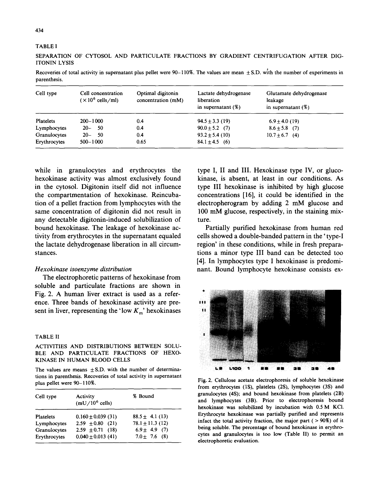#### TABLE I

SEPARATION OF CYTOSOL AND PARTICULATE FRACTIONS BY GRADIENT CENTRIFUGATION AFTER DIG-ITONIN LYSIS

Recoveries of total activity in supernatant plus pellet were  $90-110\%$ . The values are mean  $\pm$  S.D. with the number of experiments in parenthesis.

| Cell type    | Cell concentration<br>$(\times 10^6 \text{ cells/ml})$ | Optimal digitonin<br>concentration (mM) | Lactate dehydrogenase<br>liberation<br>in supernatant $(%)$ | Glutamate dehydrogenase<br>leakage<br>in supernatant $(\%)$ |
|--------------|--------------------------------------------------------|-----------------------------------------|-------------------------------------------------------------|-------------------------------------------------------------|
| Platelets    | 200-1000                                               | 0.4                                     | $94.5 \pm 3.3$ (19)                                         | $6.9 \pm 4.0$ (19)                                          |
| Lymphocytes  | -50<br>$20 -$                                          | 0.4                                     | $90.0 \pm 5.2$ (7)                                          | $8.6 \pm 5.8$ (7)                                           |
| Granulocytes | $20 -$<br>-50                                          | 0.4                                     | $93.2 \pm 5.4$ (10)                                         | $10.7 + 6.7$ (4)                                            |
| Erythrocytes | $500 - 1000$                                           | 0.65                                    | $84.1 \pm 4.5$ (6)                                          |                                                             |

while in granulocytes and erythrocytes the hexokinase activity was almost exclusively found in the cytosol. Digitonin itself did not influence the compartmentation of hexokinase. Reincubation of a pellet fraction from lymphocytes with the same concentration of digitonin did not result in any detectable digitonin-induced solubilization of bound hexokinase. The leakage of hexokinase activity from erythrocytes in the supernatant equaled the lactate dehydrogenase liberation in all circumstances.

# *Hexokinase isoenzyme distribution*

The electrophoretic patterns of hexokinase from soluble and particulate fractions are shown in Fig. 2. A human liver extract is used as a reference. Three bands of hexokinase activity are present in liver, representing the 'low  $K_m$ ' hexokinases

#### TABLE II

# ACTIVITIES AND DISTRIBUTIONS BETWEEN SOLU-BLE AND PARTICULATE FRACTIONS OF HEXO-KINASE IN HUMAN BLOOD CELLS

The values are means  $\pm$  S.D. with the number of determinations in parenthesis. Recoveries of total activity in supernatant plus pellet were 90-110%.

| Cell type    | Activity<br>$(mU/10^6 \text{ cells})$ | % Bound              |
|--------------|---------------------------------------|----------------------|
| Platelets    | $0.160 \pm 0.039$ (31)                | $88.5 \pm 4.1(13)$   |
| Lymphocytes  | $2.59 \pm 0.80$ (21)                  | $78.1 \pm 11.3$ (12) |
| Granulocytes | $2.59 \pm 0.71$ (18)                  | $6.9 \pm 4.9$ (7)    |
| Erythrocytes | $0.040 \pm 0.013$ (41)                | $7.0 \pm 7.6$ (8)    |

type I, II and III. Hexokinase type IV, or glucokinase, is absent, at least in our conditions. As type III hexokinase is inhibited by high glucose concentrations [16], it could be identified in the electropherogram by adding 2 mM glucose and 100 mM glucose, respectively, in the staining mixture.

Partially purified hexokinase from human red cells showed a double-banded pattern in the' type-I region' in these conditions, while in fresh preparations a minor type III band can be detected too [4]. In lymphocytes type I hexokinase is predominant. Bound lymphocyte hexokinase consists ex-



Fig. 2. Cellulose acetate electrophoresis of soluble hexokinase from erythrocytes (IS), platelets (2S), lymphocytes (3S) and granulocytes (4S); and bound hexokinase from platelets (2B) and lymphocytes (3B). Prior to electrophoresis bound hexokinase was solubilized by incubation with 0.5 M KCI. Erythrocyte hexokinase was partially purified and represents infact the total activity fraction, the major part  $( > 90\%)$  of it being soluble. The percentage of bound hexokinase in erythrocytes and granulocytes is too low (Table II) to permit an electrophoretic evaluation.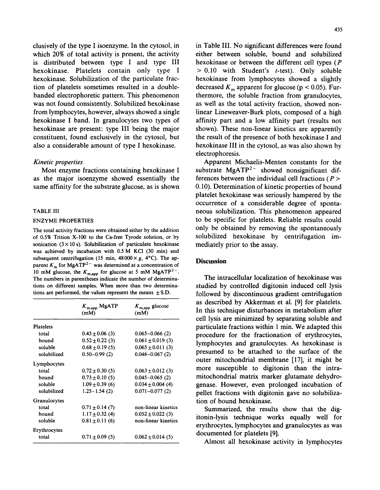clusively of the type I isoenzyme. In the cytosol, in which 20% of total activity is present, the activity is distributed between type I and type III hexokinase. Platelets contain only type I hexokinase. Solubilization of the particulate fraction of platelets sometimes resulted in a doublebanded electrophoretic pattern. This phenomenon was not found consistently. Solubilized hexokinase from lymphocytes, however, always showed a single hexokinase I band. In granulocytes two types of hexokinase are present: type III being the major constituent, found exclusively in the cytosol, but also a considerable amount of type I hexokinase.

## *Kinetic properties*

Most enzyme fractions containing hexokinase I as the major isoenzyme showed essentially the same affinity for the substrate glucose, as is shown

### TABLE III

#### ENZYME PROPERTIES

The total activity fractions were obtained either by the addition of 0.5% Trition X-100 to the Ca-free Tyrode solution, or by sonication  $(3 \times 10 s)$ . Solubilization of particulate hexokinase was achieved by incubation with 0.5 M KC1 (30 min) and subsequent centrifugation (15 min,  $48000 \times g$ ,  $4^{\circ}$ C). The apparent  $K_m$  for MgATP<sup>2-</sup> was determined at a concentration of 10 mM glucose, the  $K_{\text{m,app}}$  for glucose at 5 mM MgATP<sup>2-</sup>. The numbers in parentheses indicate the number of determinations on different samples. When more than two determinations are performed, the values represent the means  $\pm$  S.D.

|              | $K_{\text{m,app}}$ MgATP<br>(mM) | $K_{\text{m,app}}$ glucose<br>(mM) |
|--------------|----------------------------------|------------------------------------|
| Platelets    |                                  |                                    |
| total        | $0.43 \pm 0.06$ (3)              | $0.065 - 0.066(2)$                 |
| bound        | $0.52 \pm 0.22$ (3)              | $0.061 \pm 0.019$ (3)              |
| soluble      | $0.68 \pm 0.19$ (5)              | $0.065 \pm 0.011(3)$               |
| solubilized  | $0.50 - 0.99(2)$                 | $0.046 - 0.067(2)$                 |
| Lymphocytes  |                                  |                                    |
| total        | $0.72 \pm 0.30$ (5)              | $0.063 \pm 0.012$ (3)              |
| bound        | $0.73 \pm 0.10$ (5)              | $0.045 - 0.065(2)$                 |
| soluble      | $1.09 \pm 0.39$ (6)              | $0.034 \pm 0.004$ (4)              |
| solubilized  | $1.25 - 1.54(2)$                 | $0.071 - 0.077(2)$                 |
| Granulocytes |                                  |                                    |
| total        | $0.71 \pm 0.14$ (7)              | non-linear kinetics                |
| bound        | $1.17 \pm 0.32$ (4)              | $0.052 \pm 0.022$ (3)              |
| soluble      | $0.81 \pm 0.11$ (6)              | non-linear kinetics                |
| Erythrocytes |                                  |                                    |
| total        | $0.71 \pm 0.09$ (5)              | $0.062 \pm 0.014$ (5)              |

in Table III. No significant differences were found either between soluble, bound and solubilized hexokinase or between the different cell types (P  $> 0.10$  with Student's *t*-test). Only soluble hexokinase from lymphocytes showed a slightly decreased  $K_m$  apparent for glucose (p < 0.05). Furthermore, the soluble fraction from granulocytes, as well as the total activity fraction, showed nonlinear Lineweaver-Burk plots, composed of a high affinity part and a low affinity part (results not shown). These non-linear kinetics are apparently the result of the presence of both hexokinase I and hexokinase III in the cytosol, as was also shown by electrophoresis.

Apparent Michaelis-Menten constants for the substrate  $MgATP<sup>2-</sup>$  showed nonsignificant differences between the individual cell fractions ( $P >$ 0.10). Determination of kinetic properties of bound platelet hexokinase was seriously hampered by the occurrence of a considerable degree of spontaneous solubilization. This phenomenon appeared to be specific for platelets. Reliable results could only be obtained by removing the spontaneously solubilized hexokinase by centrifugation immediately prior to the assay.

# **Discussion**

The intracellular localization of hexokinase was studied by controlled digitonin induced cell lysis followed by discontinuous gradient centrifugation as described by Akkerman et al. [9] for platelets. In this technique disturbances in metabolism after cell lysis are minimized by separating soluble and particulate fractions within 1 min. We adapted this procedure for the fractionation of erythrocytes, lymphocytes and granulocytes. As hexokinase is presumed to be attached to the surface of the outer mitochondrial membrane [17], it might be more susceptible to digitonin than the intramitochondrial matrix marker glutamate dehydrogenase. However, even prolonged incubation of pellet fractions with digitonin gave no solubilization of bound hexokinase.

Summarized, the results show that the digitonin-lysis technique works equally well for erythrocytes, lymphocytes and granulocytes as was documented for platelets [9].

Almost all hexokinase activity in lymphocytes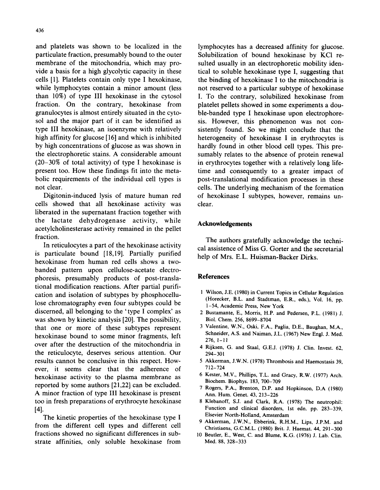and platelets was shown to be localized in the particulate fraction, presumably bound to the outer membrane of the mitochondria, which may provide a basis for a high glycolytic capacity in these cells [1]. Platelets contain only type I hexokinase, while lymphocytes contain a minor amount (less than 10%) of type III hexokinase in the cytosol fraction. On the contrary, hexokinase from granulocytes is almost entirely situated in the cytosol and the major part of it can be identified as type III hexokinase, an isoenzyme with relatively high affinity for glucose [16] and which is inhibited by high concentrations of glucose as was shown in the electrophoretic stains. A considerable amount  $(20-30\%$  of total activity) of type I hexokinase is present too. How these findings fit into the metabolic requirements of the individual cell types is

Digitonin-induced lysis of mature human red cells showed that all hexokinase activity was liberated in the supernatant fraction together with the lactate dehydrogenase activity, while acetylcholinesterase activity remained in the pellet fraction.

In reticulocytes a part of the hexokinase activity is particulate bound [18,19]. Partially purified hexokinase from human red cells shows a twobanded pattern upon cellulose-acetate electrophoresis, presumably products of post-translational modification reactions. After partial purification and isolation of subtypes by phosphocellulose chromatography even four subtypes could be discerned, all belonging to the 'type I complex' as was shown by kinetic analysis [20]. The possibility, that one or more of these subtypes represent hexokinase bound to some minor fragments, left over after the destruction of the mitochondria in the reticulocyte, deserves serious attention. Our results cannot be conclusive in this respect. However, it seems clear that the adherence of hexokinase activity to the plasma membrane as reported by some authors [21,22] can be excluded. A minor fraction of type III hexokinase is present too in fresh preparations of erythrocyte hexokinase [4].

The kinetic properties of the hexokinase type I from the different cell types and different cell fractions showed no significant differences in substrate affinities, only soluble hexokinase from lymphocytes has a decreased affinity for glucose. Solubilization of bound hexokinase by KC1 resuited usually in an electrophoretic mobility identical to soluble hexokinase type I, suggesting that the binding of hexokinase I to the mitochondria is not reserved to a particular subtype of hexokinase I. To the contrary, solubilized hexokinase from platelet pellets showed in some experiments a double-banded type I hexokinase upon electrophoresis. However, this phenomenon was not consistently found. So we might conclude that the heterogeneity of hexokinase I in erythrocytes is hardly found in other blood cell types. This presumably relates to the absence of protein renewal in erythrocytes together with a relatively long lifetime and consequently to a greater impact of post-translational modification processes in these cells. The underlying mechanism of the formation of hexokinase I subtypes, however, remains unclear.

# **Acknowledgements**

The authors gratefully acknowledge the technical assistence of Miss G. Gorter and the secretarial help of Mrs. E.L. Huisman-Backer Dirks.

### **References**

- 1 Wilson, J.E. (1980) in Current Topics in Cellular Regulation (Horecker, B.L. and Stadtman, E.R., eds.), Vol. 16, pp. 1-54, Academic Press, New York
- 2 Bustamante, E., Morris, H.P. and Pedersen, P.L. (1981) J. Biol. Chem. 256, 8699-8704
- 3 Valentine, W.N., Oski, F.A., Paglia, D.E., Baughan, M.A., Schneider, A.S. and Naiman, J.L. (1967) New Engl. J. Med.  $276, 1 - 11$
- 4 Rijksen, G. and Staal, G.E.J. (1978) J. Clin. Invest. 62, 294-301
- 5 Akkerman, J.W.N. (1978) Thrombosis and Haemostasis 39, 712-724
- 6 Kester, M.V., Phillips, T.L. and Gracy, R.W. (1977) Arch. Bioehem. Biophys. 183, 700-709
- 7 Rogers, P.A., Brenton, D.P. and Hopkinson, D.A (1980) Ann. Hum. Genet. 43, 213-226
- 8 Klebanoff, S.J. and Clark, R.A. (1978) The neutrophil: Function and clinical disorders, 1st edn. pp. 283-339, Elsevier North-Holland, Amsterdam
- 9 Akkerman, J.W.N., Ebberink, R.H.M., Lips, J.P.M. and Christiaens, G.C.M.L. (1980) Brit. J. Haemat. 44, 291-300
- 10 Beutler, E., West, C. and Blume, K.G. (1976) J. Lab. Clin. Med. 88, 328-333

not clear.